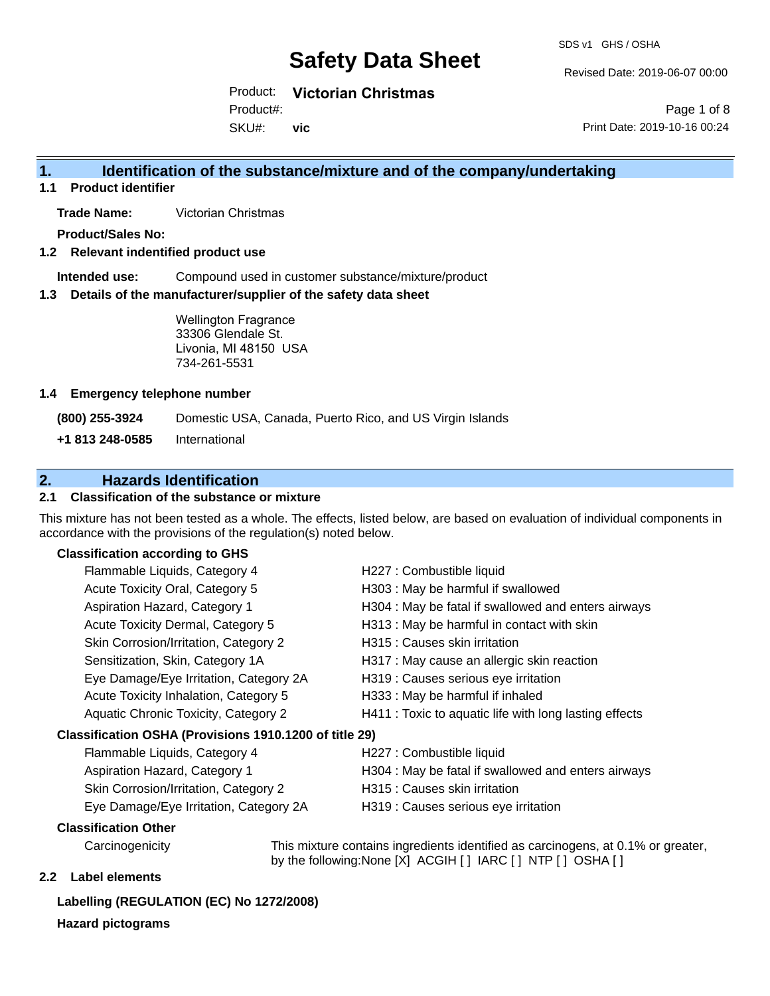Revised Date: 2019-06-07 00:00

Product: **Victorian Christmas** Product#:

SKU#: **vic**

Page 1 of 8 Print Date: 2019-10-16 00:24

## **1. Identification of the substance/mixture and of the company/undertaking**

**1.1 Product identifier**

**Trade Name:** Victorian Christmas

**Product/Sales No:**

#### **1.2 Relevant indentified product use**

**Intended use:** Compound used in customer substance/mixture/product

#### **1.3 Details of the manufacturer/supplier of the safety data sheet**

Wellington Fragrance 33306 Glendale St. Livonia, MI 48150 USA 734-261-5531

#### **1.4 Emergency telephone number**

**(800) 255-3924** Domestic USA, Canada, Puerto Rico, and US Virgin Islands

**+1 813 248-0585** International

## **2. Hazards Identification**

#### **2.1 Classification of the substance or mixture**

This mixture has not been tested as a whole. The effects, listed below, are based on evaluation of individual components in accordance with the provisions of the regulation(s) noted below.

#### **Classification according to GHS**

| Flammable Liquids, Category 4                          | H227 : Combustible liquid                              |
|--------------------------------------------------------|--------------------------------------------------------|
| Acute Toxicity Oral, Category 5                        | H303 : May be harmful if swallowed                     |
| Aspiration Hazard, Category 1                          | H304 : May be fatal if swallowed and enters airways    |
| Acute Toxicity Dermal, Category 5                      | H313 : May be harmful in contact with skin             |
| Skin Corrosion/Irritation, Category 2                  | H315 : Causes skin irritation                          |
| Sensitization, Skin, Category 1A                       | H317 : May cause an allergic skin reaction             |
| Eye Damage/Eye Irritation, Category 2A                 | H319 : Causes serious eye irritation                   |
| Acute Toxicity Inhalation, Category 5                  | H333: May be harmful if inhaled                        |
| Aquatic Chronic Toxicity, Category 2                   | H411 : Toxic to aquatic life with long lasting effects |
| Classification OSHA (Provisions 1910.1200 of title 29) |                                                        |
| Flammable Liquids, Category 4                          | H227 : Combustible liquid                              |
| Aspiration Hazard, Category 1                          | H304 : May be fatal if swallowed and enters airways    |
|                                                        |                                                        |

- Skin Corrosion/Irritation, Category 2 H315 : Causes skin irritation
- 
- Eye Damage/Eye Irritation, Category 2A H319 : Causes serious eye irritation

#### **Classification Other**

Carcinogenicity This mixture contains ingredients identified as carcinogens, at 0.1% or greater, by the following:None [X] ACGIH [ ] IARC [ ] NTP [ ] OSHA [ ]

#### **2.2 Label elements**

## **Labelling (REGULATION (EC) No 1272/2008)**

**Hazard pictograms**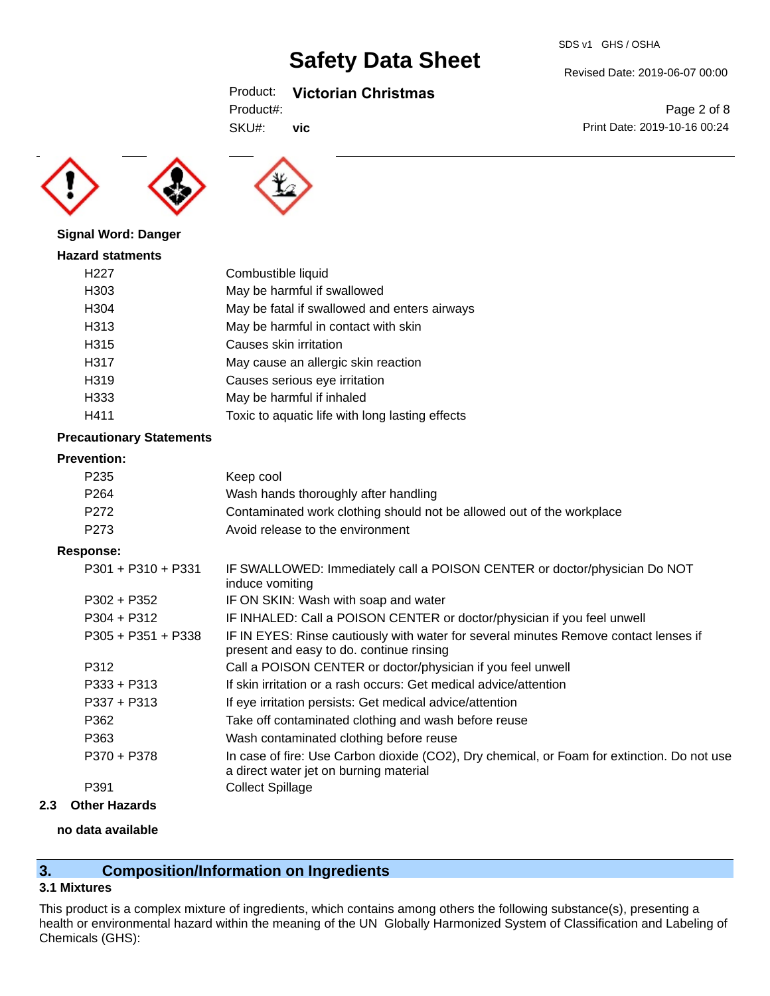## Product: **Victorian Christmas**

SKU#: **vic**

Page 2 of 8 Print Date: 2019-10-16 00:24

Revised Date: 2019-06-07 00:00





#### **Signal Word: Danger**

| <b>Hazard statments</b> |                                                 |
|-------------------------|-------------------------------------------------|
| H <sub>22</sub> 7       | Combustible liquid                              |
| H303                    | May be harmful if swallowed                     |
| H304                    | May be fatal if swallowed and enters airways    |
| H313                    | May be harmful in contact with skin             |
| H315                    | Causes skin irritation                          |
| H317                    | May cause an allergic skin reaction             |
| H319                    | Causes serious eye irritation                   |
| H333                    | May be harmful if inhaled                       |
| H411                    | Toxic to aquatic life with long lasting effects |
|                         |                                                 |

#### **Precautionary Statements**

#### **Prevention:**

| Keep cool                                                             |
|-----------------------------------------------------------------------|
| Wash hands thoroughly after handling                                  |
| Contaminated work clothing should not be allowed out of the workplace |
| Avoid release to the environment                                      |
|                                                                       |

#### **Response:**

| $P301 + P310 + P331$ | IF SWALLOWED: Immediately call a POISON CENTER or doctor/physician Do NOT<br>induce vomiting                                          |
|----------------------|---------------------------------------------------------------------------------------------------------------------------------------|
| $P302 + P352$        | IF ON SKIN: Wash with soap and water                                                                                                  |
| $P304 + P312$        | IF INHALED: Call a POISON CENTER or doctor/physician if you feel unwell                                                               |
| $P305 + P351 + P338$ | IF IN EYES: Rinse cautiously with water for several minutes Remove contact lenses if<br>present and easy to do. continue rinsing      |
| P312                 | Call a POISON CENTER or doctor/physician if you feel unwell                                                                           |
| $P333 + P313$        | If skin irritation or a rash occurs: Get medical advice/attention                                                                     |
| $P337 + P313$        | If eye irritation persists: Get medical advice/attention                                                                              |
| P362                 | Take off contaminated clothing and wash before reuse                                                                                  |
| P363                 | Wash contaminated clothing before reuse                                                                                               |
| P370 + P378          | In case of fire: Use Carbon dioxide (CO2), Dry chemical, or Foam for extinction. Do not use<br>a direct water jet on burning material |
| P391                 | <b>Collect Spillage</b>                                                                                                               |
|                      |                                                                                                                                       |

#### **2.3 Other Hazards**

#### **no data available**

## **3. Composition/Information on Ingredients**

## **3.1 Mixtures**

This product is a complex mixture of ingredients, which contains among others the following substance(s), presenting a health or environmental hazard within the meaning of the UN Globally Harmonized System of Classification and Labeling of Chemicals (GHS):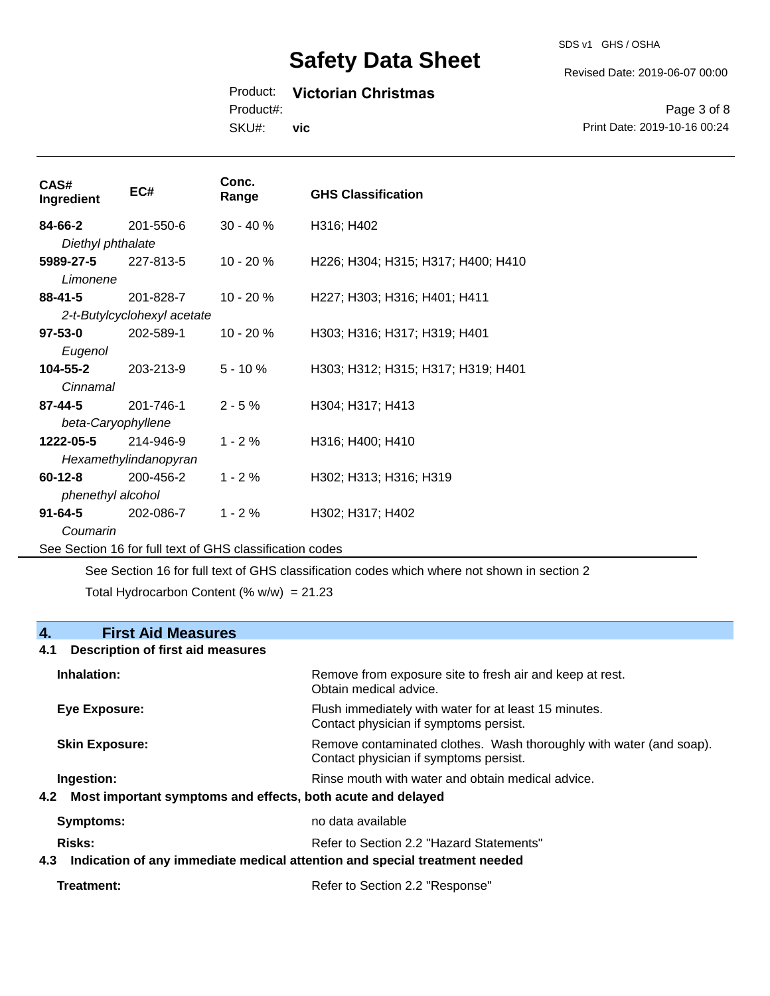SDS v1 GHS / OSHA

Revised Date: 2019-06-07 00:00

## Product: **Victorian Christmas**

Product#:

SKU#: **vic**

Page 3 of 8 Print Date: 2019-10-16 00:24

| CAS#<br>Ingredient | EC#                                                      | Conc.<br>Range | <b>GHS Classification</b>          |
|--------------------|----------------------------------------------------------|----------------|------------------------------------|
| 84-66-2            | 201-550-6                                                | $30 - 40 \%$   | H316; H402                         |
| Diethyl phthalate  |                                                          |                |                                    |
| 5989-27-5          | 227-813-5                                                | 10 - 20 %      | H226; H304; H315; H317; H400; H410 |
| Limonene           |                                                          |                |                                    |
| $88 - 41 - 5$      | 201-828-7                                                | $10 - 20%$     | H227; H303; H316; H401; H411       |
|                    | 2-t-Butylcyclohexyl acetate                              |                |                                    |
| $97 - 53 - 0$      | 202-589-1                                                | 10 - 20 %      | H303; H316; H317; H319; H401       |
| Eugenol            |                                                          |                |                                    |
| 104-55-2           | 203-213-9                                                | $5 - 10%$      | H303; H312; H315; H317; H319; H401 |
| Cinnamal           |                                                          |                |                                    |
| 87-44-5            | 201-746-1                                                | $2 - 5%$       | H304; H317; H413                   |
| beta-Caryophyllene |                                                          |                |                                    |
| 1222-05-5          | 214-946-9                                                | $1 - 2%$       | H316; H400; H410                   |
|                    | Hexamethylindanopyran                                    |                |                                    |
| $60 - 12 - 8$      | 200-456-2                                                | $1 - 2 \%$     | H302; H313; H316; H319             |
| phenethyl alcohol  |                                                          |                |                                    |
| $91 - 64 - 5$      | 202-086-7                                                | $1 - 2%$       | H302; H317; H402                   |
| Coumarin           |                                                          |                |                                    |
|                    | See Section 16 for full text of GHS classification codes |                |                                    |

See Section 16 for full text of GHS classification codes which where not shown in section 2

Total Hydrocarbon Content  $(% \mathcal{L}_{0}$  (% w/w) = 21.23

### **4. First Aid Measures**

#### **4.1 Description of first aid measures**

| Inhalation:                                                                   | Remove from exposure site to fresh air and keep at rest.<br>Obtain medical advice.                            |
|-------------------------------------------------------------------------------|---------------------------------------------------------------------------------------------------------------|
| <b>Eye Exposure:</b>                                                          | Flush immediately with water for at least 15 minutes.<br>Contact physician if symptoms persist.               |
| <b>Skin Exposure:</b>                                                         | Remove contaminated clothes. Wash thoroughly with water (and soap).<br>Contact physician if symptoms persist. |
| Ingestion:<br>4.2 Most important symptoms and effects, both acute and delayed | Rinse mouth with water and obtain medical advice.                                                             |
| Symptoms:                                                                     | no data available                                                                                             |
| Risks:                                                                        | Refer to Section 2.2 "Hazard Statements"                                                                      |
|                                                                               | 4.3 Indication of any immediate medical attention and special treatment needed                                |
| Treatment:                                                                    | Refer to Section 2.2 "Response"                                                                               |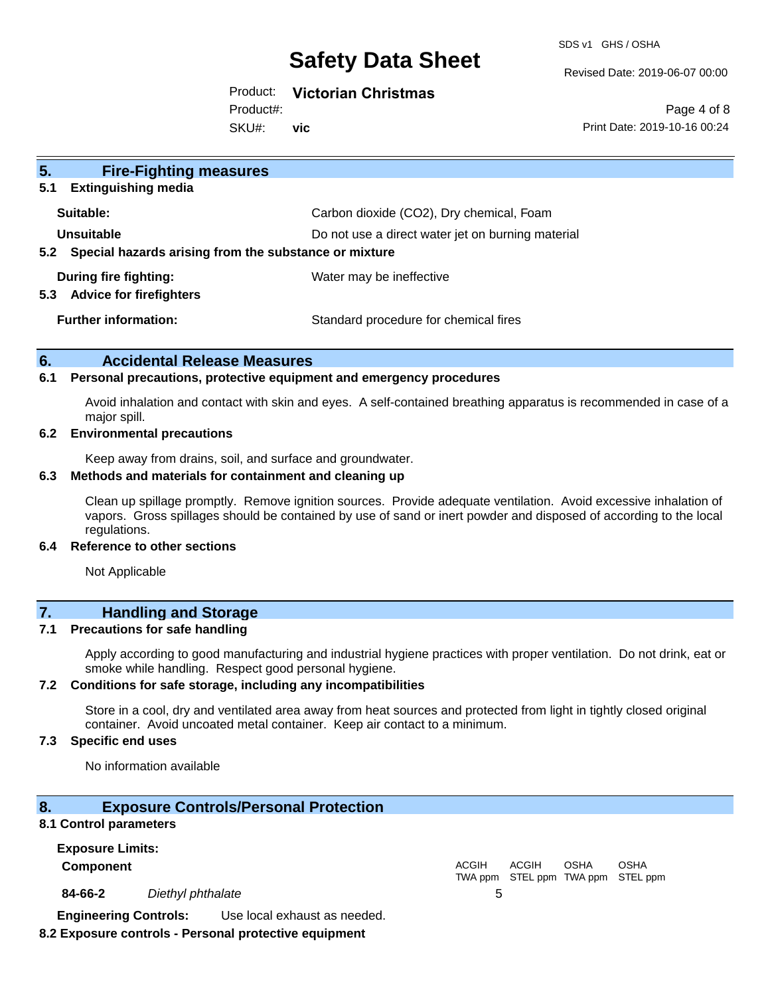SDS v1 GHS / OSHA

Revised Date: 2019-06-07 00:00

### Product: **Victorian Christmas**

Product#:

SKU#: **vic**

Page 4 of 8 Print Date: 2019-10-16 00:24

| 5.<br><b>Fire-Fighting measures</b>                            |                                                   |
|----------------------------------------------------------------|---------------------------------------------------|
| <b>Extinguishing media</b><br>5.1                              |                                                   |
| Suitable:                                                      | Carbon dioxide (CO2), Dry chemical, Foam          |
| Unsuitable                                                     | Do not use a direct water jet on burning material |
| Special hazards arising from the substance or mixture<br>5.2   |                                                   |
| During fire fighting:<br><b>Advice for firefighters</b><br>5.3 | Water may be ineffective                          |
| <b>Further information:</b>                                    | Standard procedure for chemical fires             |

#### **6. Accidental Release Measures**

#### **6.1 Personal precautions, protective equipment and emergency procedures**

Avoid inhalation and contact with skin and eyes. A self-contained breathing apparatus is recommended in case of a major spill.

#### **6.2 Environmental precautions**

Keep away from drains, soil, and surface and groundwater.

#### **6.3 Methods and materials for containment and cleaning up**

Clean up spillage promptly. Remove ignition sources. Provide adequate ventilation. Avoid excessive inhalation of vapors. Gross spillages should be contained by use of sand or inert powder and disposed of according to the local regulations.

#### **6.4 Reference to other sections**

Not Applicable

## **7. Handling and Storage**

#### **7.1 Precautions for safe handling**

Apply according to good manufacturing and industrial hygiene practices with proper ventilation. Do not drink, eat or smoke while handling. Respect good personal hygiene.

#### **7.2 Conditions for safe storage, including any incompatibilities**

Store in a cool, dry and ventilated area away from heat sources and protected from light in tightly closed original container. Avoid uncoated metal container. Keep air contact to a minimum.

#### **7.3 Specific end uses**

No information available

#### **8. Exposure Controls/Personal Protection**

#### **8.1 Control parameters**

**Exposure Limits: Component** ACGIH TWA ppm STEL ppm TWA ppm STEL ppm ACGIH **OSHA** OSHA **84-66-2** *Diethyl phthalate* 5 **Engineering Controls:** Use local exhaust as needed.

### **8.2 Exposure controls - Personal protective equipment**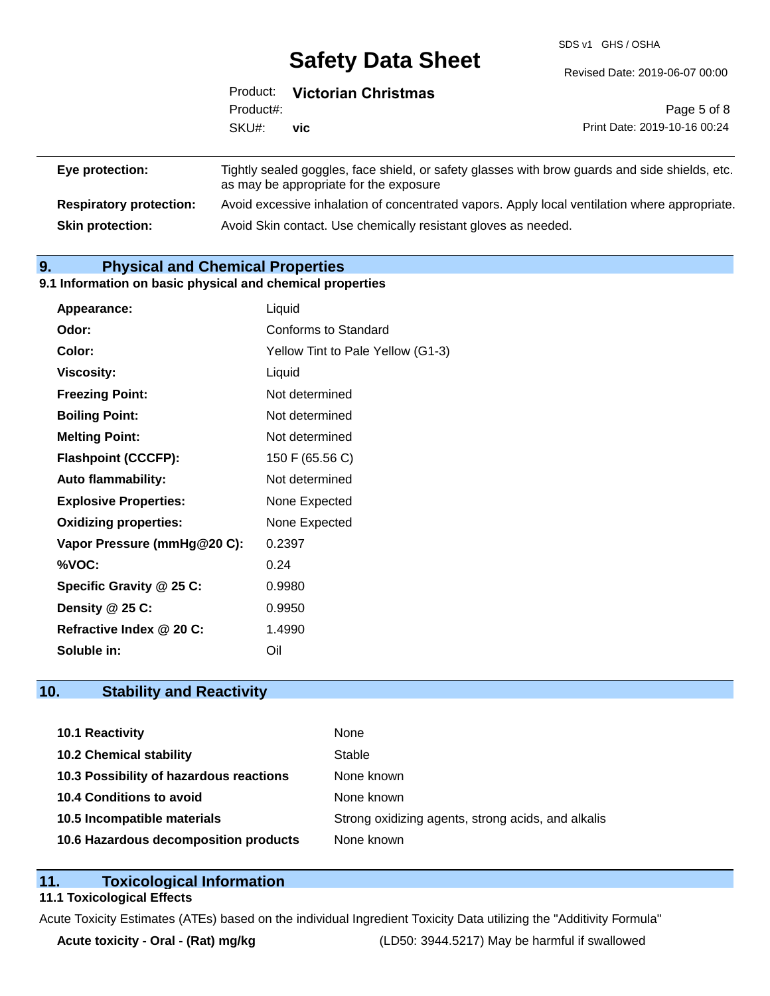SDS v1 GHS / OSHA

Revised Date: 2019-06-07 00:00

|                                | Product:  | <b>Victorian Christmas</b>             |                                                                                                |
|--------------------------------|-----------|----------------------------------------|------------------------------------------------------------------------------------------------|
|                                | Product#: |                                        | Page 5 of 8                                                                                    |
|                                | SKU#:     | <b>vic</b>                             | Print Date: 2019-10-16 00:24                                                                   |
|                                |           |                                        |                                                                                                |
| Eye protection:                |           | as may be appropriate for the exposure | Tightly sealed goggles, face shield, or safety glasses with brow guards and side shields, etc. |
| <b>Respiratory protection:</b> |           |                                        | Avoid excessive inhalation of concentrated vapors. Apply local ventilation where appropriate.  |

**Skin protection:** Avoid Skin contact. Use chemically resistant gloves as needed.

**9. Physical and Chemical Properties** 

#### **9.1 Information on basic physical and chemical properties**

| <b>Appearance:</b>           | Liquid                            |
|------------------------------|-----------------------------------|
| Odor:                        | Conforms to Standard              |
| Color:                       | Yellow Tint to Pale Yellow (G1-3) |
| <b>Viscosity:</b>            | Liquid                            |
| <b>Freezing Point:</b>       | Not determined                    |
| <b>Boiling Point:</b>        | Not determined                    |
| <b>Melting Point:</b>        | Not determined                    |
| <b>Flashpoint (CCCFP):</b>   | 150 F (65.56 C)                   |
| <b>Auto flammability:</b>    | Not determined                    |
| <b>Explosive Properties:</b> | None Expected                     |
| <b>Oxidizing properties:</b> | None Expected                     |
| Vapor Pressure (mmHg@20 C):  | 0.2397                            |
| %VOC:                        | 0.24                              |
| Specific Gravity @ 25 C:     | 0.9980                            |
| Density $@25C$ :             | 0.9950                            |
| Refractive Index @ 20 C:     | 1.4990                            |
| Soluble in:                  | Oil                               |

## **10. Stability and Reactivity**

| 10.1 Reactivity                         | None                                               |
|-----------------------------------------|----------------------------------------------------|
| <b>10.2 Chemical stability</b>          | Stable                                             |
| 10.3 Possibility of hazardous reactions | None known                                         |
| <b>10.4 Conditions to avoid</b>         | None known                                         |
| 10.5 Incompatible materials             | Strong oxidizing agents, strong acids, and alkalis |
| 10.6 Hazardous decomposition products   | None known                                         |

### **11. Toxicological Information**

#### **11.1 Toxicological Effects**

Acute Toxicity Estimates (ATEs) based on the individual Ingredient Toxicity Data utilizing the "Additivity Formula"

**Acute toxicity - Oral - (Rat) mg/kg** (LD50: 3944.5217) May be harmful if swallowed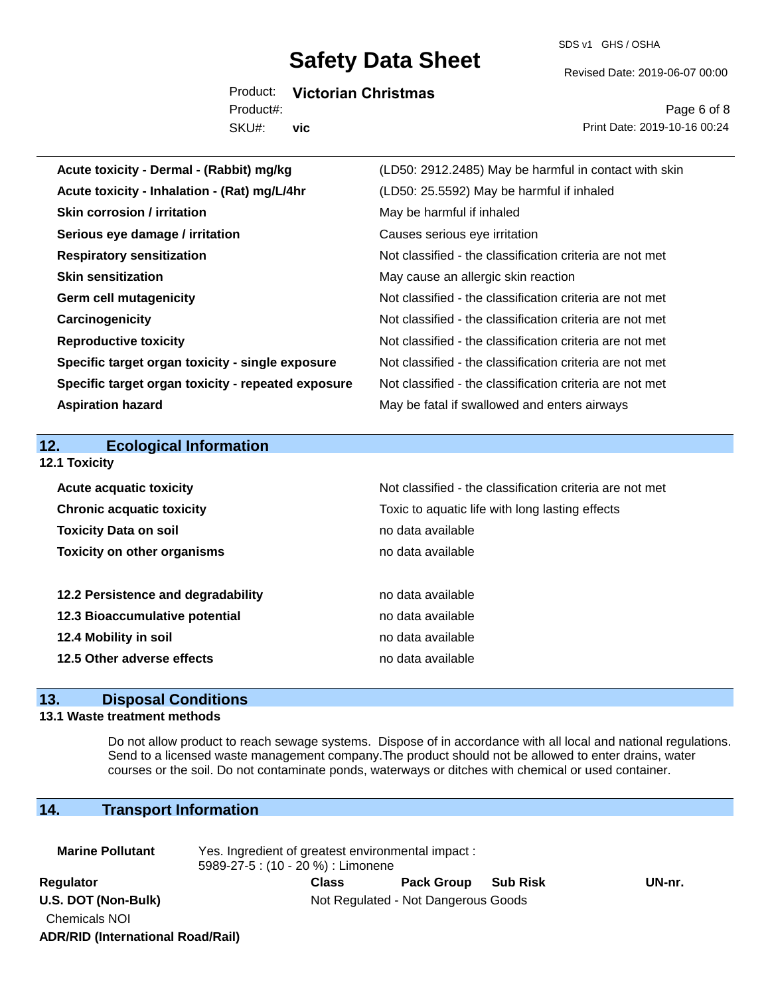SDS v1 GHS / OSHA

Revised Date: 2019-06-07 00:00

Product: **Victorian Christmas** SKU#: Product#: **vic**

Page 6 of 8 Print Date: 2019-10-16 00:24

| Acute toxicity - Dermal - (Rabbit) mg/kg           | (LD50: 2912.2485) May be harmful in contact with skin    |
|----------------------------------------------------|----------------------------------------------------------|
| Acute toxicity - Inhalation - (Rat) mg/L/4hr       | (LD50: 25.5592) May be harmful if inhaled                |
| <b>Skin corrosion / irritation</b>                 | May be harmful if inhaled                                |
| Serious eye damage / irritation                    | Causes serious eye irritation                            |
| <b>Respiratory sensitization</b>                   | Not classified - the classification criteria are not met |
| <b>Skin sensitization</b>                          | May cause an allergic skin reaction                      |
| <b>Germ cell mutagenicity</b>                      | Not classified - the classification criteria are not met |
| Carcinogenicity                                    | Not classified - the classification criteria are not met |
| <b>Reproductive toxicity</b>                       | Not classified - the classification criteria are not met |
| Specific target organ toxicity - single exposure   | Not classified - the classification criteria are not met |
| Specific target organ toxicity - repeated exposure | Not classified - the classification criteria are not met |
| <b>Aspiration hazard</b>                           | May be fatal if swallowed and enters airways             |
|                                                    |                                                          |
|                                                    |                                                          |
| 12.<br><b>Ecological Information</b>               |                                                          |
| 12.1 Toxicity                                      |                                                          |
| <b>Acute acquatic toxicity</b>                     | Not classified - the classification criteria are not met |
| <b>Chronic acquatic toxicity</b>                   | Toxic to aquatic life with long lasting effects          |
| <b>Toxicity Data on soil</b>                       | no data available                                        |
| <b>Toxicity on other organisms</b>                 | no data available                                        |
|                                                    |                                                          |
| 12.2 Persistence and degradability                 | no data available                                        |
| 12.3 Bioaccumulative potential                     | no data available                                        |
| 12.4 Mobility in soil                              | no data available                                        |
| 12.5 Other adverse effects                         | no data available                                        |

## **13. Disposal Conditions**

#### **13.1 Waste treatment methods**

Do not allow product to reach sewage systems. Dispose of in accordance with all local and national regulations. Send to a licensed waste management company.The product should not be allowed to enter drains, water courses or the soil. Do not contaminate ponds, waterways or ditches with chemical or used container.

## **14. Transport Information**

**ADR/RID (International Road/Rail)**

| <b>Marine Pollutant</b>                     | Yes. Ingredient of greatest environmental impact:<br>5989-27-5 : (10 - 20 %) : Limonene |       |                                     |  |        |  |
|---------------------------------------------|-----------------------------------------------------------------------------------------|-------|-------------------------------------|--|--------|--|
| Regulator                                   |                                                                                         | Class | Pack Group Sub Risk                 |  | UN-nr. |  |
| U.S. DOT (Non-Bulk)<br><b>Chemicals NOI</b> |                                                                                         |       | Not Regulated - Not Dangerous Goods |  |        |  |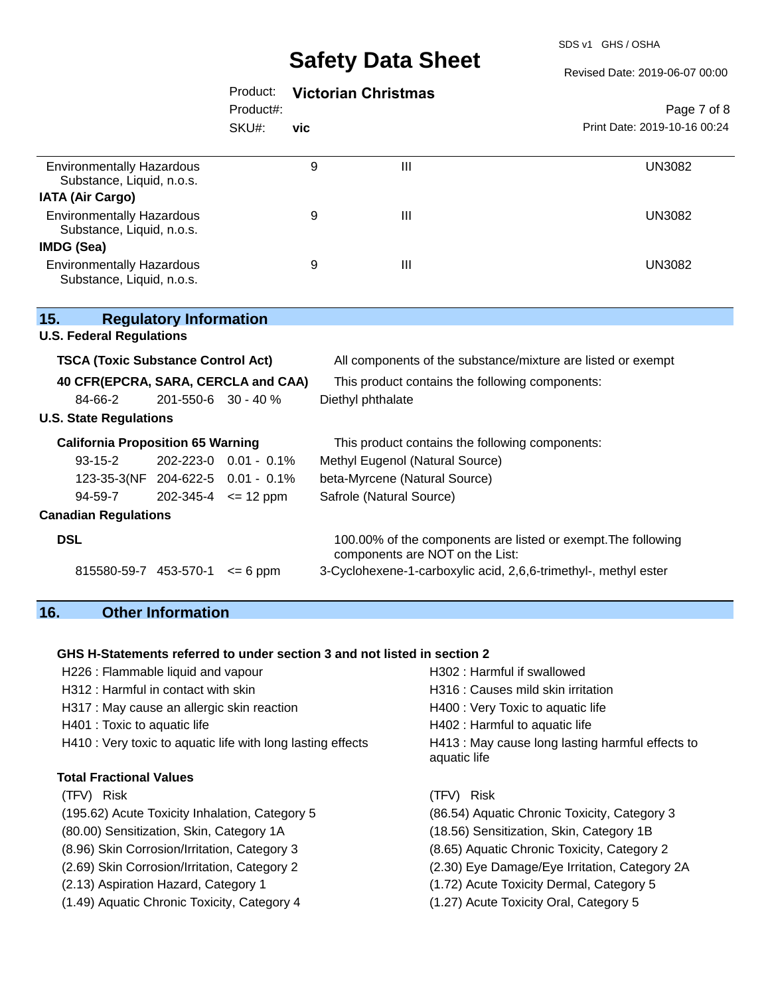SDS v1 GHS / OSHA

#### Revised Date: 2019-06-07 00:00

|                                                                                        |                               | Product:     |     | <b>Victorian Christmas</b>                                                                       |                              |
|----------------------------------------------------------------------------------------|-------------------------------|--------------|-----|--------------------------------------------------------------------------------------------------|------------------------------|
|                                                                                        |                               | Product#:    |     |                                                                                                  | Page 7 of 8                  |
|                                                                                        |                               | SKU#:        | vic |                                                                                                  | Print Date: 2019-10-16 00:24 |
| <b>Environmentally Hazardous</b><br>Substance, Liquid, n.o.s.                          |                               |              | 9   | III                                                                                              | <b>UN3082</b>                |
| <b>IATA (Air Cargo)</b>                                                                |                               |              |     |                                                                                                  |                              |
| <b>Environmentally Hazardous</b><br>Substance, Liquid, n.o.s.                          |                               |              | 9   | $\mathbf{III}$                                                                                   | <b>UN3082</b>                |
| IMDG (Sea)                                                                             |                               |              |     |                                                                                                  |                              |
| <b>Environmentally Hazardous</b><br>Substance, Liquid, n.o.s.                          |                               |              | 9   | III                                                                                              | <b>UN3082</b>                |
| 15.<br><b>U.S. Federal Regulations</b>                                                 | <b>Regulatory Information</b> |              |     |                                                                                                  |                              |
| <b>TSCA (Toxic Substance Control Act)</b>                                              |                               |              |     | All components of the substance/mixture are listed or exempt                                     |                              |
| 40 CFR(EPCRA, SARA, CERCLA and CAA)<br>This product contains the following components: |                               |              |     |                                                                                                  |                              |
| 84-66-2                                                                                | 201-550-6 30 - 40 %           |              |     | Diethyl phthalate                                                                                |                              |
| <b>U.S. State Regulations</b>                                                          |                               |              |     |                                                                                                  |                              |
| <b>California Proposition 65 Warning</b>                                               |                               |              |     | This product contains the following components:                                                  |                              |
| $93-15-2$                                                                              | 202-223-0  0.01 - 0.1%        |              |     | Methyl Eugenol (Natural Source)                                                                  |                              |
| 123-35-3(NF 204-622-5 0.01 - 0.1%                                                      |                               |              |     | beta-Myrcene (Natural Source)                                                                    |                              |
| 94-59-7                                                                                | $202 - 345 - 4 \leq 12$ ppm   |              |     | Safrole (Natural Source)                                                                         |                              |
| <b>Canadian Regulations</b>                                                            |                               |              |     |                                                                                                  |                              |
| <b>DSL</b>                                                                             |                               |              |     | 100.00% of the components are listed or exempt. The following<br>components are NOT on the List: |                              |
| 815580-59-7 453-570-1                                                                  |                               | $\leq$ 6 ppm |     | 3-Cyclohexene-1-carboxylic acid, 2,6,6-trimethyl-, methyl ester                                  |                              |

## **16. Other Information**

#### **GHS H-Statements referred to under section 3 and not listed in section 2**

| H226 : Flammable liquid and vapour                          | H302: Harmful if swallowed                                       |
|-------------------------------------------------------------|------------------------------------------------------------------|
| H312 : Harmful in contact with skin                         | H316 : Causes mild skin irritation                               |
| H317 : May cause an allergic skin reaction                  | H400 : Very Toxic to aquatic life                                |
| H401 : Toxic to aquatic life                                | H402 : Harmful to aquatic life                                   |
| H410 : Very toxic to aquatic life with long lasting effects | H413 : May cause long lasting harmful effects to<br>aquatic life |
| <b>Total Fractional Values</b>                              |                                                                  |
| (TFV) Risk                                                  | (TFV) Risk                                                       |
| (195.62) Acute Toxicity Inhalation, Category 5              | (86.54) Aquatic Chronic Toxicity, Category 3                     |
| (80.00) Sensitization, Skin, Category 1A                    | (18.56) Sensitization, Skin, Category 1B                         |
| (8.96) Skin Corrosion/Irritation, Category 3                | (8.65) Aquatic Chronic Toxicity, Category 2                      |
| (2.69) Skin Corrosion/Irritation, Category 2                | (2.30) Eye Damage/Eye Irritation, Category 2A                    |
| (2.13) Aspiration Hazard, Category 1                        | (1.72) Acute Toxicity Dermal, Category 5                         |
| (1.49) Aquatic Chronic Toxicity, Category 4                 | (1.27) Acute Toxicity Oral, Category 5                           |
|                                                             |                                                                  |